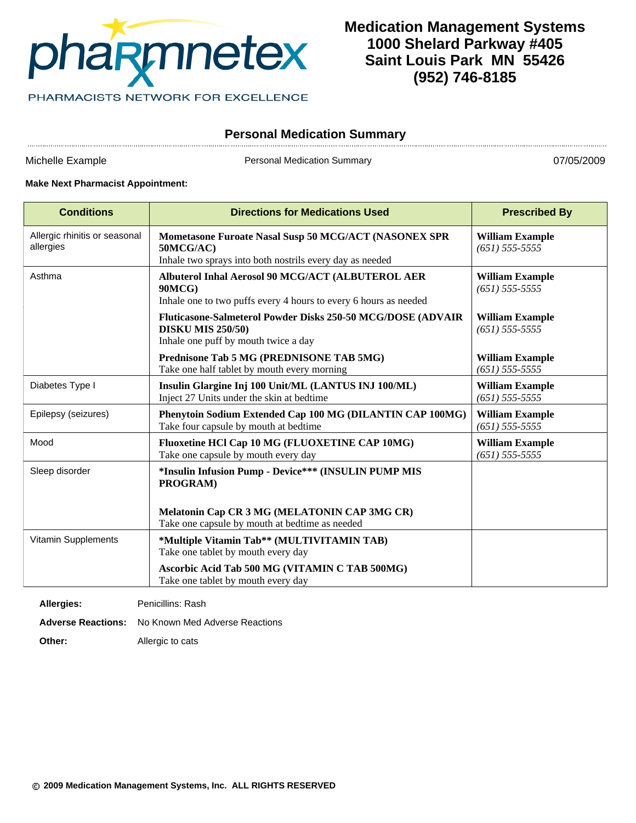

# **Medication Management Systems 1000 Shelard Parkway #405 Saint Louis Park MN 55426 (952) 746-8185**

## **Personal Medication Summary**

Michelle Example **Personal Medication Summary Provided** Personal Medication Summary **1996** 1997/05/2009

#### **Make Next Pharmacist Appointment:**

| <b>Conditions</b>                          | <b>Directions for Medications Used</b>                                                                                                 | <b>Prescribed By</b>                         |
|--------------------------------------------|----------------------------------------------------------------------------------------------------------------------------------------|----------------------------------------------|
| Allergic rhinitis or seasonal<br>allergies | Mometasone Furoate Nasal Susp 50 MCG/ACT (NASONEX SPR<br>50MCG/AC)<br>Inhale two sprays into both nostrils every day as needed         | <b>William Example</b><br>$(651)$ 555-5555   |
| Asthma                                     | Albuterol Inhal Aerosol 90 MCG/ACT (ALBUTEROL AER<br><b>90MCG)</b><br>Inhale one to two puffs every 4 hours to every 6 hours as needed | <b>William Example</b><br>$(651)$ 555-5555   |
|                                            | Fluticasone-Salmeterol Powder Disks 250-50 MCG/DOSE (ADVAIR<br><b>DISKU MIS 250/50)</b><br>Inhale one puff by mouth twice a day        | <b>William Example</b><br>$(651)$ 555-5555   |
|                                            | Prednisone Tab 5 MG (PREDNISONE TAB 5MG)<br>Take one half tablet by mouth every morning                                                | <b>William Example</b><br>$(651)$ 555-5555   |
| Diabetes Type I                            | Insulin Glargine Inj 100 Unit/ML (LANTUS INJ 100/ML)<br>Inject 27 Units under the skin at bedtime                                      | <b>William Example</b><br>$(651)$ 555-5555   |
| Epilepsy (seizures)                        | Phenytoin Sodium Extended Cap 100 MG (DILANTIN CAP 100MG)<br>Take four capsule by mouth at bedtime                                     | <b>William Example</b><br>$(651)$ 555-5555   |
| Mood                                       | Fluoxetine HCl Cap 10 MG (FLUOXETINE CAP 10MG)<br>Take one capsule by mouth every day                                                  | <b>William Example</b><br>$(651) 555 - 5555$ |
| Sleep disorder                             | *Insulin Infusion Pump - Device*** (INSULIN PUMP MIS<br><b>PROGRAM</b> )<br>Melatonin Cap CR 3 MG (MELATONIN CAP 3MG CR)               |                                              |
| Vitamin Supplements                        | Take one capsule by mouth at bedtime as needed<br>*Multiple Vitamin Tab** (MULTIVITAMIN TAB)                                           |                                              |
|                                            | Take one tablet by mouth every day                                                                                                     |                                              |
|                                            | Ascorbic Acid Tab 500 MG (VITAMIN C TAB 500MG)<br>Take one tablet by mouth every day                                                   |                                              |

| Allergies: | Penicillins: Rash                                        |
|------------|----------------------------------------------------------|
|            | <b>Adverse Reactions:</b> No Known Med Adverse Reactions |
| Other:     | Allergic to cats                                         |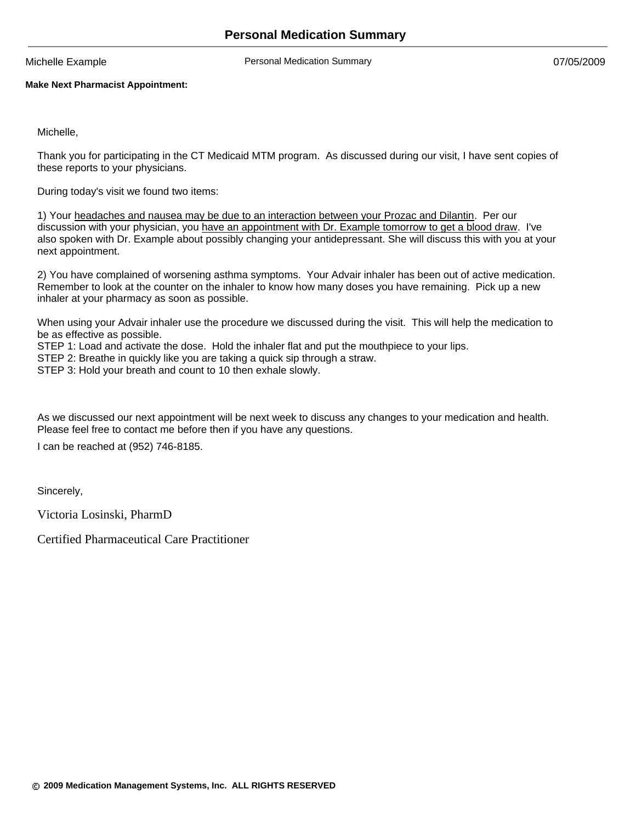Michelle Example **Nichelle Example** Personal Medication Summary **1996** 1997/05/2009

#### **Make Next Pharmacist Appointment:**

Michelle,

Thank you for participating in the CT Medicaid MTM program. As discussed during our visit, I have sent copies of these reports to your physicians.

During today's visit we found two items:

1) Your headaches and nausea may be due to an interaction between your Prozac and Dilantin. Per our discussion with your physician, you have an appointment with Dr. Example tomorrow to get a blood draw. I've also spoken with Dr. Example about possibly changing your antidepressant. She will discuss this with you at your next appointment.

2) You have complained of worsening asthma symptoms. Your Advair inhaler has been out of active medication. Remember to look at the counter on the inhaler to know how many doses you have remaining. Pick up a new inhaler at your pharmacy as soon as possible.

When using your Advair inhaler use the procedure we discussed during the visit. This will help the medication to be as effective as possible.

STEP 1: Load and activate the dose. Hold the inhaler flat and put the mouthpiece to your lips.

STEP 2: Breathe in quickly like you are taking a quick sip through a straw.

STEP 3: Hold your breath and count to 10 then exhale slowly.

As we discussed our next appointment will be next week to discuss any changes to your medication and health. Please feel free to contact me before then if you have any questions.

I can be reached at (952) 746-8185.

Sincerely,

Victoria Losinski, PharmD

Certified Pharmaceutical Care Practitioner